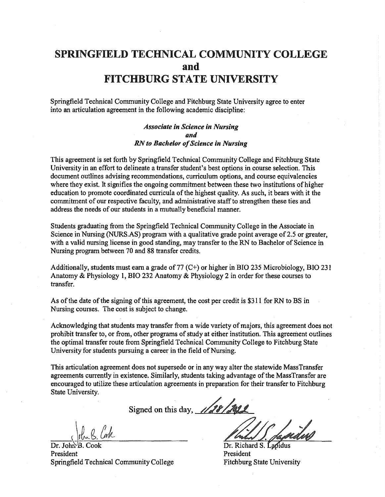# SPRINGFIELD TECHNICAL COMMUNITY COLLEGE and FITCHBURG STATE UNIVERSITY

Springfield Technical Community College and Fitchburg State University agree to enter into an articulation agreement in the following academic discipline:

> *Associate in Science in Nursing*  **and**  *RN to Bachelor ofScience in Nursing*

This agreement is set forth by Springfield Technical Community College and Fitchburg State University in an effort to delineate a transfer student's best options in course selection. This document outlines advising recommendations, curriculum options, and course equivalencies where they exist. It signifies the ongoing commitment between these two institutions of higher education to promote coordinated curricula of the highest quality. As such, it bears with it the commitment of our respective faculty, and administrative staff to strengthen these ties and address the needs of our students in a mutually beneficial manner.

Students graduating from the Springfield Technical Community College in the Associate in Science in Nursing (NURS.AS) program with a qualitative grade point average of 2.5 or greater, with a valid nursing license in good standing, may transfer to the RN to Bachelor of Science in Nursing program between 70 and 88 transfer credits.

Additionally, students must earn a grade of 77  $(C+)$  or higher in BIO 235 Microbiology, BIO 231 Anatomy & Physiology I, BIO 232 Anatomy & Physiology 2 in order for these courses to transfer.

As of the date of the signing of this agreement, the cost per credit is \$311 for RN to BS in Nursing courses. The cost is subject to change.

Acknowledging that students may transfer from a wide variety of majors, this agreement does not prohibit transfer to, or from, other programs of study at either institution. This agreement outlines the optimal transfer route from Springfield Technical Community College to Fitchburg State University for students pursuing a career in the field of Nursing.

This articulation agreement does not supersede or in any way alter the statewide MassTransfer agreements currently in existence. Similarly, students taking advantage of the MassTransfer are encouraged to utilize these articulation agreements in preparation for their transfer to Fitchburg State University.

Signed on this day, 1128/2011

 $\frac{1}{\pi}$  Dr. John B. Cook Dr. Richard S. President President President President President President Springfield Technical Community College Fitchburg State University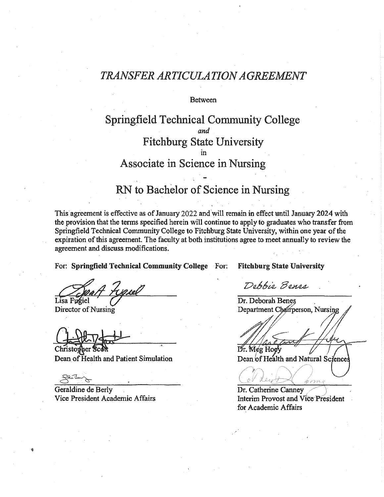# *TRANSFER ARTICULATION AGREEMENT*

**Between** 

### Springfield Technical Community College *and*  Fitchburg State University m Associate in Science in Nursing

# RN to Bachelor of Science in Nursing

This agreement is effective as of January 2022 and will remain in effect until January 2024 with the provision that the tenns specified herein will continue to apply to graduates who transfer from Springfield Technical Community College to Fitchburg State University, within one year of the expiration of this agreement. The faculty at both institutions agree to meet annually to review the agreement and discuss modifications.

For: Springfield Technical Community College For: Fitchburg State University

Christopher Scott Dean of Health and Patient Simulation

Geraldine de Berly Vice President Academic Affairs

Debbie Benes

Dr. Deborah Benes<br>Disa Fugiel Dr. Deborah Benes<br>Director of Nursing Department Chairperson, Nu Department Chairperson, Nursing

Dr. Meg Hoey

Dean of Health and Natural Sciences

Dr. Catherine Canney Interim Provost and Vice President for Academic Affairs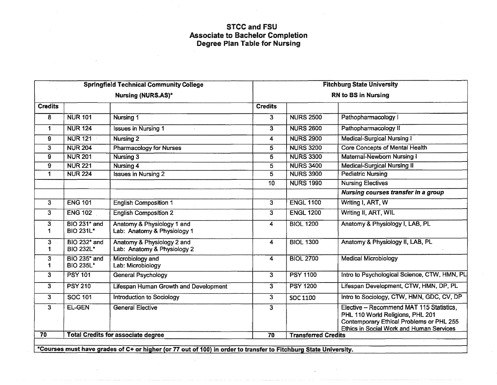### STCCand FSU Associate to Bachelor Completion Degree Plan Table for Nursing

| <b>Springfield Technical Community College</b> |                                              |                                                                           |                | <b>Fitchburg State University</b> |                                                                                                                                                                      |  |
|------------------------------------------------|----------------------------------------------|---------------------------------------------------------------------------|----------------|-----------------------------------|----------------------------------------------------------------------------------------------------------------------------------------------------------------------|--|
| Nursing (NURS.AS)*                             |                                              |                                                                           |                | <b>RN to BS in Nursing</b>        |                                                                                                                                                                      |  |
| <b>Credits</b>                                 |                                              |                                                                           | <b>Credits</b> |                                   |                                                                                                                                                                      |  |
| 8                                              | <b>NUR 101</b>                               | Nursing 1                                                                 | 3              | <b>NURS 2500</b>                  | Pathopharmacology                                                                                                                                                    |  |
| 1                                              | <b>NUR 124</b>                               | <b>Issues in Nursing 1</b>                                                | 3              | <b>NURS 2600</b>                  | Pathopharmacology II                                                                                                                                                 |  |
| 9                                              | <b>NUR 121</b>                               | <b>Nursing 2</b>                                                          | 4              | <b>NURS 2900</b>                  | Medical-Surgical Nursing I                                                                                                                                           |  |
| 3                                              | <b>NUR 204</b>                               | <b>Pharmacology for Nurses</b>                                            | 5              | <b>NURS 3200</b>                  | <b>Core Concepts of Mental Health</b>                                                                                                                                |  |
| 9                                              | <b>NUR 201</b>                               | Nursing 3                                                                 | 5              | <b>NURS 3300</b>                  | Maternal-Newborn Nursing I                                                                                                                                           |  |
| 9                                              | <b>NUR 221</b>                               | Nursing 4                                                                 | 5              | <b>NURS 3400</b>                  | <b>Medical-Surgical Nursing II</b>                                                                                                                                   |  |
| 1                                              | <b>NUR 224</b>                               | <b>Issues in Nursing 2</b>                                                | $\overline{5}$ | <b>NURS 3900</b>                  | <b>Pediatric Nursing</b>                                                                                                                                             |  |
|                                                |                                              |                                                                           | 10             | <b>NURS 1990</b>                  | <b>Nursing Electives</b>                                                                                                                                             |  |
|                                                |                                              |                                                                           |                |                                   | Nursing courses transfer in a group                                                                                                                                  |  |
| $\overline{3}$                                 | <b>ENG 101</b>                               | <b>English Composition 1</b>                                              | 3              | <b>ENGL 1100</b>                  | Writing I, ART, W                                                                                                                                                    |  |
| $\overline{3}$                                 | <b>ENG 102</b>                               | <b>English Composition 2</b>                                              | 3              | <b>ENGL 1200</b>                  | Writing II, ART, WIL                                                                                                                                                 |  |
| 3<br>1                                         | <b>BIO 231* and</b><br><b>BIO 231L*</b>      | Anatomy & Physiology 1 and<br>Lab: Anatomy & Physiology 1                 | 4              | <b>BIOL 1200</b>                  | Anatomy & Physiology I, LAB, PL                                                                                                                                      |  |
| 3<br>1                                         | BIO 232 <sup>*</sup> and<br><b>BIO 232L*</b> | Anatomy & Physiology 2 and<br>Lab: Anatomy & Physiology 2                 | 4              | <b>BIOL 1300</b>                  | Anatomy & Physiology II, LAB, PL                                                                                                                                     |  |
| 3<br>1                                         | <b>BIO 235* and</b><br><b>BIO 235L*</b>      | Microbiology and<br>Lab: Microbiology                                     | 4              | <b>BIOL 2700</b>                  | <b>Medical Microbiology</b>                                                                                                                                          |  |
| 3                                              | <b>PSY 101</b>                               | <b>General Psychology</b>                                                 | 3              | <b>PSY 1100</b>                   | Intro to Psychological Science, CTW, HMN, PL                                                                                                                         |  |
| 3                                              | <b>PSY 210</b>                               | Lifespan Human Growth and Development                                     | $\overline{3}$ | <b>PSY 1200</b>                   | Lifespan Development, CTW, HMN, DP, PL                                                                                                                               |  |
| 3                                              | SOC 101                                      | Introduction to Sociology                                                 | $\overline{3}$ | <b>SOC 1100</b>                   | Intro to Sociology, CTW, HMN, GDC, CV, DP                                                                                                                            |  |
| $\overline{3}$                                 | <b>EL-GEN</b>                                | <b>General Elective</b>                                                   | $\overline{3}$ |                                   | Elective - Recommend MAT 115 Statistics,<br>PHL 110 World Religions, PHL 201<br>Contemporary Ethical Problems or PHL 255<br>Ethics in Social Work and Human Services |  |
| $\overline{70}$                                | <b>Total Credits for associate degree</b>    |                                                                           | 70             | <b>Transferred Credits</b>        |                                                                                                                                                                      |  |
|                                                |                                              | <b>ECALIMAS mush house grades of Ct on bigher (as 77 and of 400)</b> in a |                | ada Midalelana Mdada Hatana       | للمستقطعات                                                                                                                                                           |  |

\*Courses must have grades of C+ or higher (or 77 out of 100} in order to transfer to Fitchburg State University.